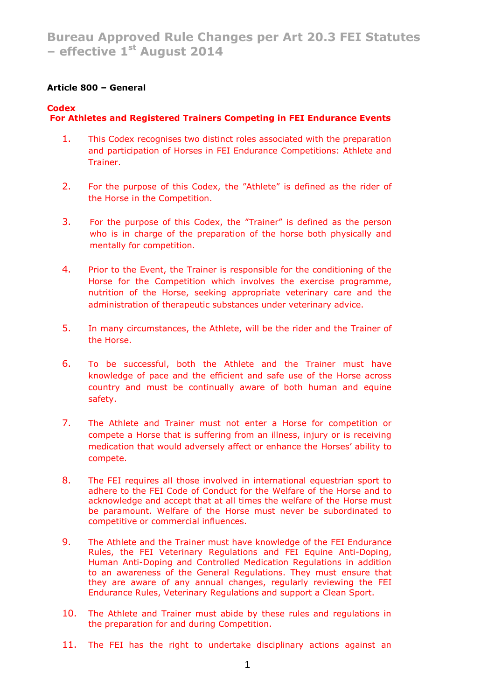# **Article 800 – General**

# **Codex**

# **For Athletes and Registered Trainers Competing in FEI Endurance Events**

- 1. This Codex recognises two distinct roles associated with the preparation and participation of Horses in FEI Endurance Competitions: Athlete and Trainer.
- 2. For the purpose of this Codex, the "Athlete" is defined as the rider of the Horse in the Competition.
- 3. For the purpose of this Codex, the "Trainer" is defined as the person who is in charge of the preparation of the horse both physically and mentally for competition.
- 4. Prior to the Event, the Trainer is responsible for the conditioning of the Horse for the Competition which involves the exercise programme, nutrition of the Horse, seeking appropriate veterinary care and the administration of therapeutic substances under veterinary advice.
- 5. In many circumstances, the Athlete, will be the rider and the Trainer of the Horse.
- 6. To be successful, both the Athlete and the Trainer must have knowledge of pace and the efficient and safe use of the Horse across country and must be continually aware of both human and equine safety.
- 7. The Athlete and Trainer must not enter a Horse for competition or compete a Horse that is suffering from an illness, injury or is receiving medication that would adversely affect or enhance the Horses' ability to compete.
- 8. The FEI requires all those involved in international equestrian sport to adhere to the FEI Code of Conduct for the Welfare of the Horse and to acknowledge and accept that at all times the welfare of the Horse must be paramount. Welfare of the Horse must never be subordinated to competitive or commercial influences.
- 9. The Athlete and the Trainer must have knowledge of the FEI Endurance Rules, the FEI Veterinary Regulations and FEI Equine Anti-Doping, Human Anti-Doping and Controlled Medication Regulations in addition to an awareness of the General Regulations. They must ensure that they are aware of any annual changes, regularly reviewing the FEI Endurance Rules, Veterinary Regulations and support a Clean Sport.
- 10. The Athlete and Trainer must abide by these rules and regulations in the preparation for and during Competition.
- 11. The FEI has the right to undertake disciplinary actions against an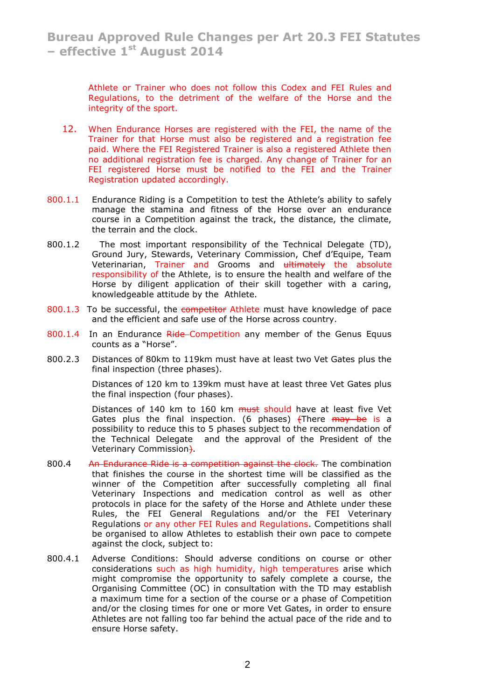Athlete or Trainer who does not follow this Codex and FEI Rules and Regulations, to the detriment of the welfare of the Horse and the integrity of the sport.

- 12. When Endurance Horses are registered with the FEI, the name of the Trainer for that Horse must also be registered and a registration fee paid. Where the FEI Registered Trainer is also a registered Athlete then no additional registration fee is charged. Any change of Trainer for an FEI registered Horse must be notified to the FEI and the Trainer Registration updated accordingly.
- 800.1.1 Endurance Riding is a Competition to test the Athlete's ability to safely manage the stamina and fitness of the Horse over an endurance course in a Competition against the track, the distance, the climate, the terrain and the clock.
- 800.1.2 The most important responsibility of the Technical Delegate (TD), Ground Jury, Stewards, Veterinary Commission, Chef d'Equipe, Team Veterinarian, Trainer and Grooms and ultimately the absolute responsibility of the Athlete, is to ensure the health and welfare of the Horse by diligent application of their skill together with a caring, knowledgeable attitude by the Athlete.
- 800.1.3 To be successful, the competitor Athlete must have knowledge of pace and the efficient and safe use of the Horse across country.
- 800.1.4 In an Endurance Ride Competition any member of the Genus Equus counts as a "Horse".
- 800.2.3 Distances of 80km to 119km must have at least two Vet Gates plus the final inspection (three phases).

Distances of 120 km to 139km must have at least three Vet Gates plus the final inspection (four phases).

Distances of 140 km to 160 km must should have at least five Vet Gates plus the final inspection. (6 phases)  $\left\{$  There  $\frac{m}{4}$  be is a possibility to reduce this to 5 phases subject to the recommendation of the Technical Delegate and the approval of the President of the Veterinary Commission).

- 800.4 An Endurance Ride is a competition against the clock. The combination that finishes the course in the shortest time will be classified as the winner of the Competition after successfully completing all final Veterinary Inspections and medication control as well as other protocols in place for the safety of the Horse and Athlete under these Rules, the FEI General Regulations and/or the FEI Veterinary Regulations or any other FEI Rules and Regulations. Competitions shall be organised to allow Athletes to establish their own pace to compete against the clock, subject to:
- 800.4.1 Adverse Conditions: Should adverse conditions on course or other considerations such as high humidity, high temperatures arise which might compromise the opportunity to safely complete a course, the Organising Committee (OC) in consultation with the TD may establish a maximum time for a section of the course or a phase of Competition and/or the closing times for one or more Vet Gates, in order to ensure Athletes are not falling too far behind the actual pace of the ride and to ensure Horse safety.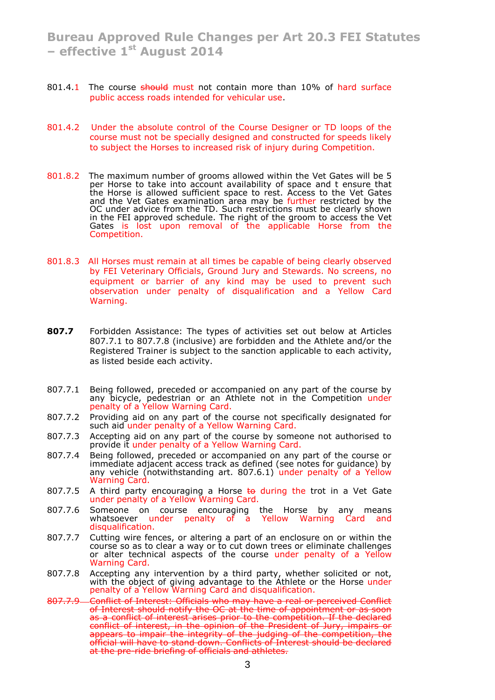- 801.4.1 The course should must not contain more than 10% of hard surface public access roads intended for vehicular use.
- 801.4.2 Under the absolute control of the Course Designer or TD loops of the course must not be specially designed and constructed for speeds likely to subject the Horses to increased risk of injury during Competition.
- 801.8.2 The maximum number of grooms allowed within the Vet Gates will be 5 per Horse to take into account availability of space and t ensure that the Horse is allowed sufficient space to rest. Access to the Vet Gates and the Vet Gates examination area may be further restricted by the OC under advice from the TD. Such restrictions must be clearly shown in the FEI approved schedule. The right of the groom to access the Vet Gates is lost upon removal of the applicable Horse from the Competition.
- 801.8.3 All Horses must remain at all times be capable of being clearly observed by FEI Veterinary Officials, Ground Jury and Stewards. No screens, no equipment or barrier of any kind may be used to prevent such observation under penalty of disqualification and a Yellow Card Warning.
- **807.7** Forbidden Assistance: The types of activities set out below at Articles 807.7.1 to 807.7.8 (inclusive) are forbidden and the Athlete and/or the Registered Trainer is subject to the sanction applicable to each activity, as listed beside each activity.
- 807.7.1 Being followed, preceded or accompanied on any part of the course by any bicycle, pedestrian or an Athlete not in the Competition under penalty of a Yellow Warning Card.
- 807.7.2 Providing aid on any part of the course not specifically designated for such aid under penalty of a Yellow Warning Card.
- 807.7.3 Accepting aid on any part of the course by someone not authorised to provide it under penalty of a Yellow Warning Card.
- 807.7.4 Being followed, preceded or accompanied on any part of the course or immediate adjacent access track as defined (see notes for guidance) by any vehicle (notwithstanding art. 807.6.1) under penalty of a Yellow Warning Card.
- 807.7.5 A third party encouraging a Horse  $\text{to}$  during the trot in a Vet Gate under penalty of a Yellow Warning Card.
- 807.7.6 Someone on course encouraging the Horse by any means whatsoever under penalty of a Yellow Warning Card and disqualification.
- 807.7.7 Cutting wire fences, or altering a part of an enclosure on or within the course so as to clear a way or to cut down trees or eliminate challenges or alter technical aspects of the course under penalty of a Yellow Warning Card.
- 807.7.8 Accepting any intervention by a third party, whether solicited or not, with the object of giving advantage to the Athlete or the Horse under penalty of a Yellow Warning Card and disqualification.
- 807.7.9 Conflict of Interest: Officials who may have a real or perceived Conflict of Interest should notify the OC at the time of appointment or as soon as a conflict of interest arises prior to the competition. If the declared conflict of interest, in the opinion of the President of Jury, impairs or appears to impair the integrity of the judging of the competition, the official will have to stand down. Conflicts of Interest should be declared at the pre-ride briefing of officials and athletes.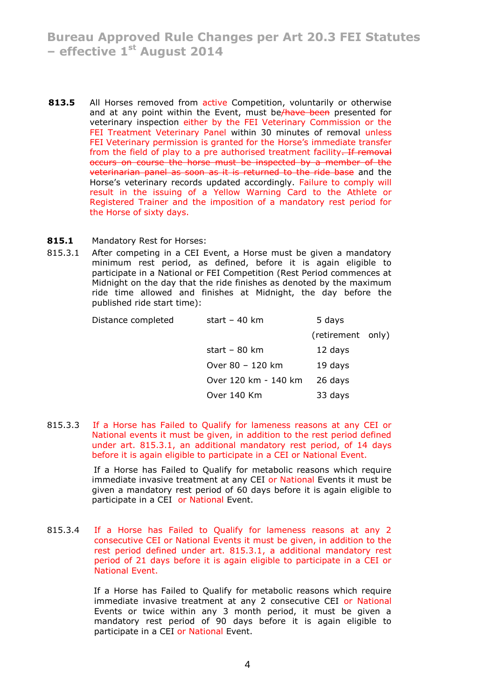- **813.5** All Horses removed from active Competition, voluntarily or otherwise and at any point within the Event, must be/have been presented for veterinary inspection either by the FEI Veterinary Commission or the FEI Treatment Veterinary Panel within 30 minutes of removal unless FEI Veterinary permission is granted for the Horse's immediate transfer from the field of play to a pre authorised treatment facility. If removal occurs on course the horse must be inspected by a member of the veterinarian panel as soon as it is returned to the ride base and the Horse's veterinary records updated accordingly. Failure to comply will result in the issuing of a Yellow Warning Card to the Athlete or Registered Trainer and the imposition of a mandatory rest period for the Horse of sixty days.
- **815.1** Mandatory Rest for Horses:
- 815.3.1 After competing in a CEI Event, a Horse must be given a mandatory minimum rest period, as defined, before it is again eligible to participate in a National or FEI Competition (Rest Period commences at Midnight on the day that the ride finishes as denoted by the maximum ride time allowed and finishes at Midnight, the day before the published ride start time):

| Distance completed | start $-40$ km          | 5 days            |  |
|--------------------|-------------------------|-------------------|--|
|                    |                         | (retirement only) |  |
|                    | start – $80 \text{ km}$ | 12 days           |  |
|                    | Over 80 - 120 km        | 19 days           |  |
|                    | Over 120 km - 140 km    | 26 days           |  |
|                    | Over 140 Km             | 33 days           |  |
|                    |                         |                   |  |

815.3.3 If a Horse has Failed to Qualify for lameness reasons at any CEI or National events it must be given, in addition to the rest period defined under art. 815.3.1, an additional mandatory rest period, of 14 days before it is again eligible to participate in a CEI or National Event.

> If a Horse has Failed to Qualify for metabolic reasons which require immediate invasive treatment at any CEI or National Events it must be given a mandatory rest period of 60 days before it is again eligible to participate in a CEI or National Event.

815.3.4 If a Horse has Failed to Qualify for lameness reasons at any 2 consecutive CEI or National Events it must be given, in addition to the rest period defined under art. 815.3.1, a additional mandatory rest period of 21 days before it is again eligible to participate in a CEI or National Event.

> If a Horse has Failed to Qualify for metabolic reasons which require immediate invasive treatment at any 2 consecutive CEI or National Events or twice within any 3 month period, it must be given a mandatory rest period of 90 days before it is again eligible to participate in a CEI or National Event.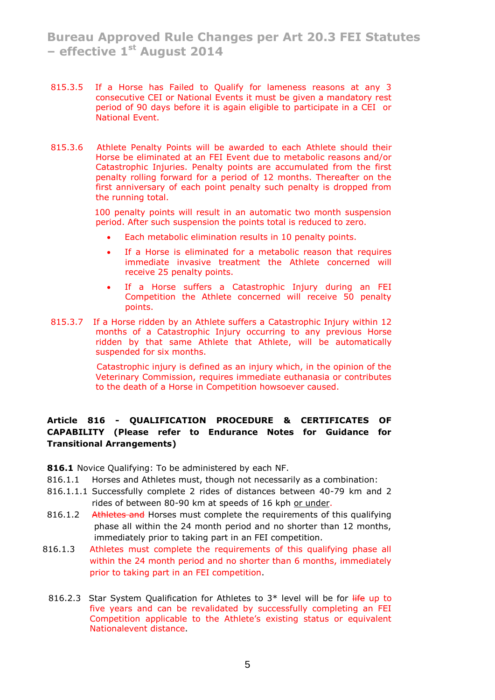- 815.3.5 If a Horse has Failed to Qualify for lameness reasons at any 3 consecutive CEI or National Events it must be given a mandatory rest period of 90 days before it is again eligible to participate in a CEI or National Event.
- 815.3.6 Athlete Penalty Points will be awarded to each Athlete should their Horse be eliminated at an FEI Event due to metabolic reasons and/or Catastrophic Injuries. Penalty points are accumulated from the first penalty rolling forward for a period of 12 months. Thereafter on the first anniversary of each point penalty such penalty is dropped from the running total.

 100 penalty points will result in an automatic two month suspension period. After such suspension the points total is reduced to zero.

- Each metabolic elimination results in 10 penalty points.
- If a Horse is eliminated for a metabolic reason that requires immediate invasive treatment the Athlete concerned will receive 25 penalty points.
- If a Horse suffers a Catastrophic Injury during an FEI Competition the Athlete concerned will receive 50 penalty points.
- 815.3.7 If a Horse ridden by an Athlete suffers a Catastrophic Injury within 12 months of a Catastrophic Injury occurring to any previous Horse ridden by that same Athlete that Athlete, will be automatically suspended for six months.

 Catastrophic injury is defined as an injury which, in the opinion of the Veterinary Commission, requires immediate euthanasia or contributes to the death of a Horse in Competition howsoever caused.

# **Article 816 - QUALIFICATION PROCEDURE & CERTIFICATES OF CAPABILITY (Please refer to Endurance Notes for Guidance for Transitional Arrangements)**

**816.1** Novice Qualifying: To be administered by each NF.

- 816.1.1 Horses and Athletes must, though not necessarily as a combination:
- 816.1.1.1 Successfully complete 2 rides of distances between 40-79 km and 2 rides of between 80-90 km at speeds of 16 kph or under.
- 816.1.2 Athletes and Horses must complete the requirements of this qualifying phase all within the 24 month period and no shorter than 12 months, immediately prior to taking part in an FEI competition.
- 816.1.3 Athletes must complete the requirements of this qualifying phase all within the 24 month period and no shorter than 6 months, immediately prior to taking part in an FEI competition.
	- 816.2.3 Star System Qualification for Athletes to  $3*$  level will be for  $\frac{1}{11}$  to five years and can be revalidated by successfully completing an FEI Competition applicable to the Athlete's existing status or equivalent Nationalevent distance.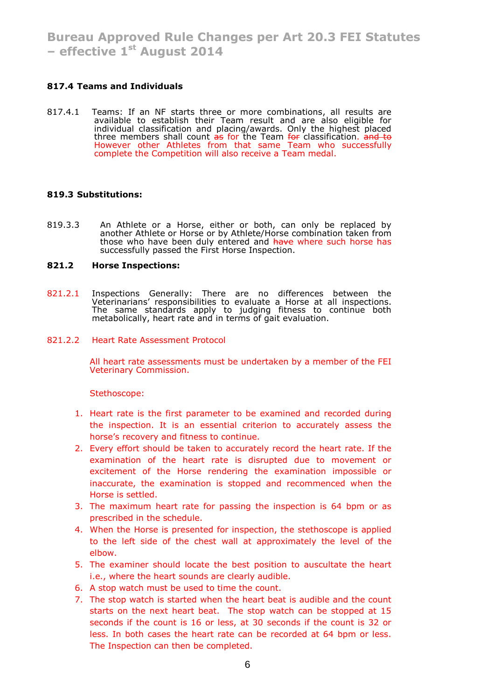# **817.4 Teams and Individuals**

817.4.1 Teams: If an NF starts three or more combinations, all results are available to establish their Team result and are also eligible for individual classification and placing/awards. Only the highest placed three members shall count <del>as</del> for the Team <del>for</del> classification. <del>and to</del> However other Athletes from that same Team who successfully complete the Competition will also receive a Team medal.

## **819.3 Substitutions:**

819.3.3 An Athlete or a Horse, either or both, can only be replaced by another Athlete or Horse or by Athlete/Horse combination taken from those who have been duly entered and have where such horse has successfully passed the First Horse Inspection.

#### **821.2 Horse Inspections:**

821.2.1 Inspections Generally: There are no differences between the Veterinarians' responsibilities to evaluate a Horse at all inspections. The same standards apply to judging fitness to continue both metabolically, heart rate and in terms of gait evaluation.

#### 821.2.2 Heart Rate Assessment Protocol

All heart rate assessments must be undertaken by a member of the FEI Veterinary Commission.

Stethoscope:

- 1. Heart rate is the first parameter to be examined and recorded during the inspection. It is an essential criterion to accurately assess the horse's recovery and fitness to continue.
- 2. Every effort should be taken to accurately record the heart rate. If the examination of the heart rate is disrupted due to movement or excitement of the Horse rendering the examination impossible or inaccurate, the examination is stopped and recommenced when the Horse is settled.
- 3. The maximum heart rate for passing the inspection is 64 bpm or as prescribed in the schedule.
- 4. When the Horse is presented for inspection, the stethoscope is applied to the left side of the chest wall at approximately the level of the elbow.
- 5. The examiner should locate the best position to auscultate the heart i.e., where the heart sounds are clearly audible.
- 6. A stop watch must be used to time the count.
- 7. The stop watch is started when the heart beat is audible and the count starts on the next heart beat. The stop watch can be stopped at 15 seconds if the count is 16 or less, at 30 seconds if the count is 32 or less. In both cases the heart rate can be recorded at 64 bpm or less. The Inspection can then be completed.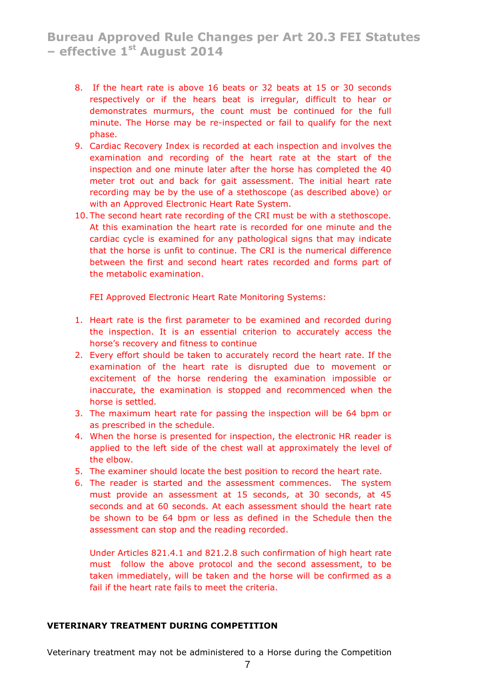- 8. If the heart rate is above 16 beats or 32 beats at 15 or 30 seconds respectively or if the hears beat is irregular, difficult to hear or demonstrates murmurs, the count must be continued for the full minute. The Horse may be re-inspected or fail to qualify for the next phase.
- 9. Cardiac Recovery Index is recorded at each inspection and involves the examination and recording of the heart rate at the start of the inspection and one minute later after the horse has completed the 40 meter trot out and back for gait assessment. The initial heart rate recording may be by the use of a stethoscope (as described above) or with an Approved Electronic Heart Rate System.
- 10. The second heart rate recording of the CRI must be with a stethoscope. At this examination the heart rate is recorded for one minute and the cardiac cycle is examined for any pathological signs that may indicate that the horse is unfit to continue. The CRI is the numerical difference between the first and second heart rates recorded and forms part of the metabolic examination.

FEI Approved Electronic Heart Rate Monitoring Systems:

- 1. Heart rate is the first parameter to be examined and recorded during the inspection. It is an essential criterion to accurately access the horse's recovery and fitness to continue
- 2. Every effort should be taken to accurately record the heart rate. If the examination of the heart rate is disrupted due to movement or excitement of the horse rendering the examination impossible or inaccurate, the examination is stopped and recommenced when the horse is settled.
- 3. The maximum heart rate for passing the inspection will be 64 bpm or as prescribed in the schedule.
- 4. When the horse is presented for inspection, the electronic HR reader is applied to the left side of the chest wall at approximately the level of the elbow.
- 5. The examiner should locate the best position to record the heart rate.
- 6. The reader is started and the assessment commences. The system must provide an assessment at 15 seconds, at 30 seconds, at 45 seconds and at 60 seconds. At each assessment should the heart rate be shown to be 64 bpm or less as defined in the Schedule then the assessment can stop and the reading recorded.

Under Articles 821.4.1 and 821.2.8 such confirmation of high heart rate must follow the above protocol and the second assessment, to be taken immediately, will be taken and the horse will be confirmed as a fail if the heart rate fails to meet the criteria.

# **VETERINARY TREATMENT DURING COMPETITION**

Veterinary treatment may not be administered to a Horse during the Competition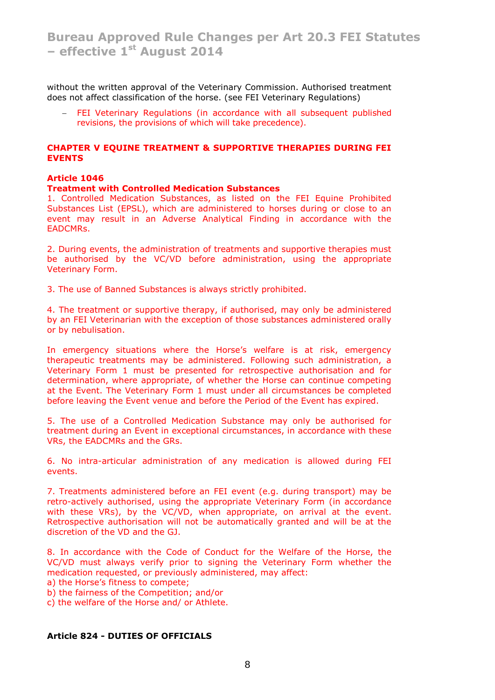without the written approval of the Veterinary Commission. Authorised treatment does not affect classification of the horse. (see FEI Veterinary Regulations)

 FEI Veterinary Regulations (in accordance with all subsequent published revisions, the provisions of which will take precedence).

#### **CHAPTER V EQUINE TREATMENT & SUPPORTIVE THERAPIES DURING FEI EVENTS**

## **Article 1046**

#### **Treatment with Controlled Medication Substances**

1. Controlled Medication Substances, as listed on the FEI Equine Prohibited Substances List (EPSL), which are administered to horses during or close to an event may result in an Adverse Analytical Finding in accordance with the EADCMRs.

2. During events, the administration of treatments and supportive therapies must be authorised by the VC/VD before administration, using the appropriate Veterinary Form.

3. The use of Banned Substances is always strictly prohibited.

4. The treatment or supportive therapy, if authorised, may only be administered by an FEI Veterinarian with the exception of those substances administered orally or by nebulisation.

In emergency situations where the Horse's welfare is at risk, emergency therapeutic treatments may be administered. Following such administration, a Veterinary Form 1 must be presented for retrospective authorisation and for determination, where appropriate, of whether the Horse can continue competing at the Event. The Veterinary Form 1 must under all circumstances be completed before leaving the Event venue and before the Period of the Event has expired.

5. The use of a Controlled Medication Substance may only be authorised for treatment during an Event in exceptional circumstances, in accordance with these VRs, the EADCMRs and the GRs.

6. No intra-articular administration of any medication is allowed during FEI events.

7. Treatments administered before an FEI event (e.g. during transport) may be retro-actively authorised, using the appropriate Veterinary Form (in accordance with these VRs), by the VC/VD, when appropriate, on arrival at the event. Retrospective authorisation will not be automatically granted and will be at the discretion of the VD and the GJ.

8. In accordance with the Code of Conduct for the Welfare of the Horse, the VC/VD must always verify prior to signing the Veterinary Form whether the medication requested, or previously administered, may affect:

a) the Horse's fitness to compete;

b) the fairness of the Competition; and/or

c) the welfare of the Horse and/ or Athlete.

## **Article 824 - DUTIES OF OFFICIALS**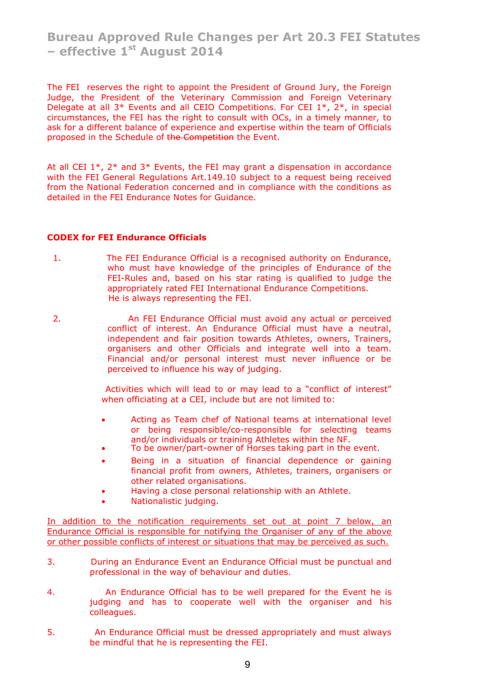The FEI reserves the right to appoint the President of Ground Jury, the Foreign Judge, the President of the Veterinary Commission and Foreign Veterinary Delegate at all 3<sup>\*</sup> Events and all CEIO Competitions. For CEI  $1^*$ ,  $2^*$ , in special circumstances, the FEI has the right to consult with OCs, in a timely manner, to ask for a different balance of experience and expertise within the team of Officials proposed in the Schedule of the Competition the Event.

At all CEI  $1^*$ ,  $2^*$  and  $3^*$  Events, the FEI may grant a dispensation in accordance with the FEI General Regulations Art.149.10 subject to a request being received from the National Federation concerned and in compliance with the conditions as detailed in the FEI Endurance Notes for Guidance.

## **CODEX for FEI Endurance Officials**

- 1. The FEI Endurance Official is a recognised authority on Endurance, who must have knowledge of the principles of Endurance of the FEI-Rules and, based on his star rating is qualified to judge the appropriately rated FEI International Endurance Competitions. He is always representing the FEI.
- 2. An FEI Endurance Official must avoid any actual or perceived conflict of interest. An Endurance Official must have a neutral, independent and fair position towards Athletes, owners, Trainers, organisers and other Officials and integrate well into a team. Financial and/or personal interest must never influence or be perceived to influence his way of judging.

 Activities which will lead to or may lead to a "conflict of interest" when officiating at a CEI, include but are not limited to:

- Acting as Team chef of National teams at international level or being responsible/co-responsible for selecting teams and/or individuals or training Athletes within the NF.
- To be owner/part-owner of Horses taking part in the event.
- Being in a situation of financial dependence or gaining financial profit from owners, Athletes, trainers, organisers or other related organisations.
- Having a close personal relationship with an Athlete.
- Nationalistic judging.

In addition to the notification requirements set out at point 7 below, an Endurance Official is responsible for notifying the Organiser of any of the above or other possible conflicts of interest or situations that may be perceived as such.

- 3. During an Endurance Event an Endurance Official must be punctual and professional in the way of behaviour and duties.
- 4. An Endurance Official has to be well prepared for the Event he is judging and has to cooperate well with the organiser and his colleagues.
- 5. An Endurance Official must be dressed appropriately and must always be mindful that he is representing the FEI.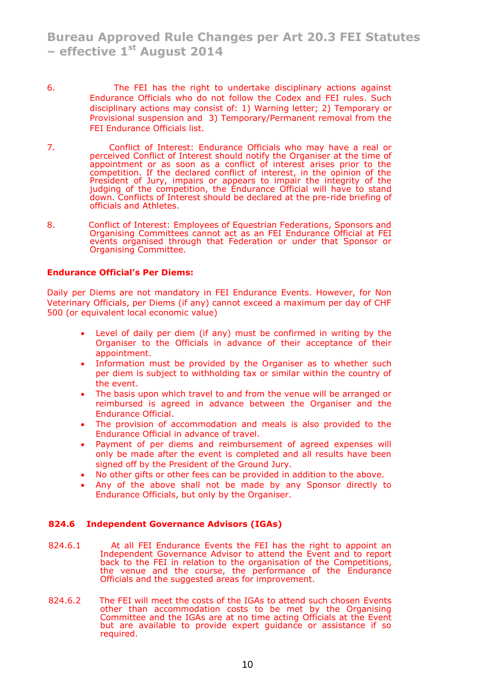- 6. The FEI has the right to undertake disciplinary actions against Endurance Officials who do not follow the Codex and FEI rules. Such disciplinary actions may consist of: 1) Warning letter; 2) Temporary or Provisional suspension and 3) Temporary/Permanent removal from the FEI Endurance Officials list.
- 7. Conflict of Interest: Endurance Officials who may have a real or perceived Conflict of Interest should notify the Organiser at the time of appointment or as soon as a conflict of interest arises prior to the competition. If the declared conflict of interest, in the opinion of the President of Jury, impairs or appears to impair the integrity of the judging of the competition, the Endurance Official will have to stand down. Conflicts of Interest should be declared at the pre-ride briefing of officials and Athletes.
- 8. Conflict of Interest: Employees of Equestrian Federations, Sponsors and Organising Committees cannot act as an FEI Endurance Official at FEI events organised through that Federation or under that Sponsor or Organising Committee.

#### **Endurance Official's Per Diems:**

Daily per Diems are not mandatory in FEI Endurance Events. However, for Non Veterinary Officials, per Diems (if any) cannot exceed a maximum per day of CHF 500 (or equivalent local economic value)

- Level of daily per diem (if any) must be confirmed in writing by the Organiser to the Officials in advance of their acceptance of their appointment.
- Information must be provided by the Organiser as to whether such per diem is subject to withholding tax or similar within the country of the event.
- The basis upon which travel to and from the venue will be arranged or reimbursed is agreed in advance between the Organiser and the Endurance Official.
- The provision of accommodation and meals is also provided to the Endurance Official in advance of travel.
- Payment of per diems and reimbursement of agreed expenses will only be made after the event is completed and all results have been signed off by the President of the Ground Jury.
- No other gifts or other fees can be provided in addition to the above.
- Any of the above shall not be made by any Sponsor directly to Endurance Officials, but only by the Organiser.

#### **824.6 Independent Governance Advisors (IGAs)**

- 824.6.1 At all FEI Endurance Events the FEI has the right to appoint an Independent Governance Advisor to attend the Event and to report back to the FEI in relation to the organisation of the Competitions, the venue and the course, the performance of the Endurance Officials and the suggested areas for improvement.
- 824.6.2 The FEI will meet the costs of the IGAs to attend such chosen Events other than accommodation costs to be met by the Organising Committee and the IGAs are at no time acting Officials at the Event but are available to provide expert guidance or assistance if so required.